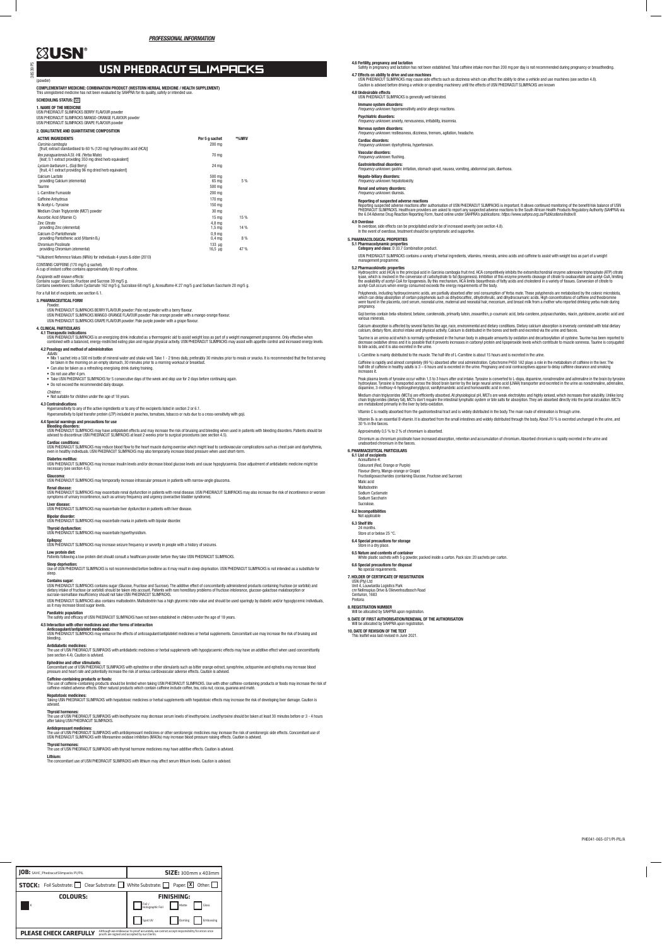38539 P5

(powder)

COMPLEMENTARY MEDICINE: COMBINATION PRODUCT (WESTERN HERBAL MEDICINE / HEALTH SUPPLEMENT) This unregistered medicine has not been evaluated by SAHPRA for its quality, safety or intended use.

## SCHEDULING STATUS: [S0]

**1. NAME OF THE MEDICINE**<br>USN PHEDRACUT SLIMPACKS BERRY FLAVOUR powder USN PHEDRACUT SLIMPACKS MANGO-ORANGE FLAVOUR powder USN PHEDRACUT SLIMPACKS GRAPE FLAVOUR powder

| 2. QUALITATIVE AND QUANTITATIVE COMPOSITION                                                               |                                        |       |
|-----------------------------------------------------------------------------------------------------------|----------------------------------------|-------|
| <b>ACTIVE INGREDIENTS</b>                                                                                 | Per 5 g sachet                         | *%NRV |
| Carcinia cambogia<br>[fruit; extract standardised to 60 % (120 mg) hydroxycitric acid (HCA)]              | 200 mg                                 |       |
| llex paraquariensis A.St.-Hil. (Yerba Mate)<br>[leaf; 5:1 extract providing 350 mg dried herb equivalent] | 70 mg                                  |       |
| Lycium barbarum L. (Goji Berry)<br>[fruit, 4:1 extract providing 96 mg dried herb equivalent]             | 24 mg                                  |       |
| Calcium Lactate<br>providing Calcium (elemental)                                                          | 500 mg<br>65 ma                        | 5%    |
| Taurine                                                                                                   | 500 mg                                 |       |
| L-Carnitine Fumarate                                                                                      | 200 mg                                 |       |
| <b>Caffeine Anhydrous</b>                                                                                 | 170 mg                                 |       |
| N-Acetyl-L-Tyrosine                                                                                       | 150 mg                                 |       |
| Medium Chain Triglyceride (MCT) powder                                                                    | 30 mg                                  |       |
| Ascorbic Acid (Vitamin C)                                                                                 | 15 <sub>ma</sub>                       | 15%   |
| <b>Zinc Citrate</b><br>providing Zinc (elemental)                                                         | 4.8 <sub>ma</sub><br>$1,5 \text{ mg}$  | 14%   |
| Calcium-D-Pantothenate<br>providing Pantothenic acid (Vitamin B <sub>5</sub> )                            | 0.9 <sub>ma</sub><br>0.4 <sub>mg</sub> | 8%    |
| <b>Chromium Picolinate</b><br>providing Chromium (elemental)                                              | 133 <sub>uq</sub><br>$16.5 \text{ µq}$ | 47%   |
|                                                                                                           |                                        |       |

\*%Nutrient Reference Values (NRVs) for individuals 4 years & older (2010)

CONTAINS CAFFEINE (170 mg/5 g sachet). A cup of instant coffee contains approximately 80 mg of caffeine.

*Excipients with known effects:*

Contains sugar: Glucose, Fructose and Sucrose 39 mg/5 g. Contains sweeteners: Sodium Cyclamate 162 mg/5 g, Sucralose 68 mg/5 g, Acesulfame-K 27 mg/5 g and Sodium Saccharin 20 mg/5 g. For a full list of excipients, see section 6.1.

### 3. PHARMACEUTICAL FORM

Powder. USN PHEDRACUT SLIMPACKS BERRY FLAVOUR powder: Pale red powder with a berry flavour. USN PHEDRACUT SLIMPACKS MANGO-ORANGE FLAVOUR powder: Pale orange powder with a mango-orange flavour.

USN PHEDRACUT SLIMPACKS GRAPE FLAVOUR powder: Pale purple powder with a grape flavour.

### 4. CLINICAL PARTICULARS

4.1 Therapeutic indications<br>USN PHEDRACKS is an energizing drink indicated as a thermogenic aid to assist weight loss as part of a weight management programme. Only effective when<br>Ombined with a balanced, energy-restricted

# 4.2 Posology and method of administration

Adults:<br>● Mix 1 sachet into a 500 ml bottle of mineral water and shake well. Take 1 - 2 times daily, preferably 30 minutes prior to meals or snacks. It is recommended that the first serving<br>■ be taken in the morning on an

**Sleep deprivation:**<br>Use of USN PHEDRACUT SLIMPACKS is not recommended before bedtime as it may result in sleep deprivation. USN PHEDRACUT SLIMPACKS is not intended as a substitute for sleep.

**Contains sugar:**<br>USN PHEDRACUT SLIMPACKS contains sugar (Glucose, Fructose and Sucrose). The additive effect of concomitantly administered products containing fructose (or sorbitol) and dietary intake of fructose (or sorbitol) should be taken into account. Patients with rare hereditary problems of fructose intolerance, glucose-galactose malabsorption or<br>sucrase-isomaltase insufficiency should not take USN

• Can also be taken as a refreshing energising drink during training. • Do not use after 4 pm.

- Take USN PHEDRACUT SLIMPACKS for 5 consecutive days of the week and stop use for 2 days before continuing again.
- Do not exceed the recommended daily dosage.

*Children:*

## • Not suitable for children under the age of 18 years.

**Anticoagulant/antiplatelet medicines:**<br>USN PHEDRACUT SLIMPACKS may enhance the effects of anticoagulant/antiplatelet medicines or herbal supplements. Concomitant use may increase the risk of bruising and bleeding.

4.3 Contraindications Hypersensitivity to any of the active ingredients or to any of the excipients listed in section 2 or 6.1. Hypersensitivity to lipid transfer protein (LTP) included in peaches, tomatoes, tobacco or nuts due to a cross-sensitivity with goji.

4.4 Special warnings and precautions for use

**Bleeding disorders:**<br>USN PHEDRACUT SLIMPACKS may have antiplatelet effects and may increase the risk of bruising and bleeding when used in patients with bleeding disorders. Patients should be<br>advised to discontinue USN PH

**Cardiac conditions:**<br>USN PHEDRACUT SLIMPACKS may reduce blood flow to the heart muscle during exercise which might lead to cardiovascular complications such as chest pain and dysrhythmia,<br>even in healthy individuals. USN

Concomitant use of USN PHEDRACUT SLIMPACKS with ephedrine or other stimulants such as bitter orange extract, synephrine, octopamine and ephedra may inc pressure and heart rate and potentially increase the risk of serious cardiovascular adverse effects. Caution is advised.

### Diabetes mellitus:

USN PHEDRACUT SLIMPACKS may increase insulin levels and/or decrease blood glucose levels and cause hypoglycaemia. Dose adjustment of antidiabetic medicine might be necessary (see section 4.5).

**Glaucoma:**<br>USN PHEDRACUT SLIMPACKS may temporarily increase intraocular pressure in patients with narrow-angle glaucoma.

**Renal disease:**<br>USN PHEDRACUT SLIMPACKS may exacerbate renal dysfunction in patients with renal disease. USN PHEDRACUT SLIMPACKS may also increase the risk of incontinence or worsen symptoms of urinary incontinence, such as urinary frequency and urgency (overactive bladder syndrome).

**Liver disease:**<br>USN PHEDRACUT SLIMPACKS may exacerbate liver dysfunction in patients with liver disease.

**Bipolar disorder:**<br>USN PHEDRACUT SLIMPACKS may exacerbate mania in patients with bipolar disorder.

# **Thyroid dysfunction:**<br>USN PHEDRACUT SLIMPACKS may exacerbate hyperthyroidism.

**Epilepsy:**<br>USN PHEDRACUT SLIMPACKS may increase seizure frequency or severity in people with a history of seizures.

**Low protein diet:**<br>Patients following a low protein diet should consult a healthcare provider before they take USN PHEDRACUT SLIMPACKS.

**4.6 Fertility, pregnancy and lactation**<br>Safety in pregnancy and lactation has not been established. Total caffeine intake more than 200 mg per day is not recommended during pregnancy or breastfeeding. 4.7 Effects on ability to drive and use machines

w wire and use maximes<br>SLIMPACKS may cause side effects such as dizziness which can affect the ability to drive a vehicle and use machines (see section 4.8). Caution is advised before driving a vehicle or operating machinery until the effects of USN PHEDRACUT SLIMPACKS are known

### **Hepato-biliary disorders:**<br>Frequency unknown: hepato *Frequency unknown:* hepatotoxicity.

USN PHEDRACUT SLIMPACKS contains a variety of herbal ingredients, vitamins, minerals, amino acids and caffeine to assist with weight loss as part of a weight nanagement programm

Hydroxycitric acid (HCA) is the principal acid in Garcinia cambogia fruit rind. HCA competitively inhibits the extramitochondrial enzyme adenosine triphosphate (ATP) citrate lyase, which is involved in the conversion of carbohydrate to fat (lipogenesis). Inhibition of this enzyme prevents cleavage of citrate to oxaloacetate and acetyl-CoA, limiting<br>the availability of acetyl-CoA for lipogenesi

Polyphenols, including hydroxycinnamic acids, are partially absorbed after oral consumption of Yerba mate. These polyphenols are metabolised by the colonic microbiota,<br>which can delay absorption of certain polyphenols such pregnancy.

### USN PHEDRACUT SLIMPACKS also contains maltodextrin. Maltodextrin has a high glycemic index value and should be used sparingly by diabetic and/or hypoglycemic individuals, as it may increase blood sugar levels.

**Paediatric population**<br>The safety and efficacy of USN PHEDRACUT SLIMPACKS have not been established in children under the age of 18 years.

Taurine is an amino acid which is normally synthesised in the human body in adequate amounts by oxidation and decarboxylation of cysteine. Taurine has been reported to decrease oxidative stress and it is possible that it prevents increases in carbonyl protein and lipoperoxide levels which contribute to muscle soreness. Taurine is conjugated<br>to bile acids, and it is also excreted in the u

## 4.5 Interaction with other medicines and other forms of interaction

### Antidiabetic medicines:

The use of USN PHEDRACUT SLIMPACKS with antidiabetic medicines or herbal supplements with hypoglycaemic effects may have an additive effect when used concomittantly (see section 4.4). Caution is advised.

# Ephedrine and other stimulants:

### Caffeine-containing products or foods:

The use of caffeine-containing products should be limited when taking USN PHEDRACUT SLIMPACKS. Use with other caffeine-containing products or foods may increase the risk of<br>caffeine-related adverse effects. Other natural p

**Hepatotoxic medicines:**<br>Taking USN PHEDRACUT SLIMPACKS with hepatotoxic medicines or herbal supplements with hepatotoxic effects may increase the risk of developing liver damage. Caution is<br>advised.

### Thyroid hormones:

The use of USN PHEDRACUT SLIMPACKS with levothyroxine may decrease serum levels of levothyroxine. Levothyroxine should be taken at least 30 minutes before or 3 - 4 hours after taking USN PHEDRACUT SLIMPACKS.

### Antidepressant medicines:

The use of USN PHEDRACUT SLIMPACKS with antidepressant medicines or other serotonergic medicines may increase the risk of serotonergic side effects. Concomitant use of<br>USN PHEDRACUT SLIMPACKS with Monoamine oxidase inhibit

### **Thyroid horn**

Will be allocated by SAHPRA upon reg 10. DATE OF REVISION OF THE TEXT This leaflet was last revised in June 2021.

The use of USN PHEDRACUT SLIMPACKS with thyroid hormone medicines may have additive effects. Caution is advised.

### Lithium:

The concomitant use of USN PHEDRACUT SLIMPACKS with lithium may affect serum lithium levels. Caution is advised.

# **XUSN®**

# USN PHEDRACUT SLIMPACKS

4.8 Undesirable effects USN PHEDRACUT SLIMPACKS is generally well tolerated.

# Immune system disorders: *Frequency unknown:* hypersensitivity and/or allergic reactions.

### Psychiatric disorders: *Frequency unknown:* anxiety, nervousness, irritability, insomnia.

Nervous system disorders: *Frequency unknown:* restlessness, dizziness, tremors, agitation, headache.

# Cardiac disorders: *Frequency unknown:* dysrhythmia, hypertension.

### Vascular disorders: *Frequency unknown:* flushing.

**Gastrointestinal disorders:**<br>*Frequency unknown:* gastric irritation, stomach upset, nausea, vomiting, abdominal pain, diarrhoea.

Renal and urinary disorders:

*Frequency unknown* 

**Reporting of suspected adverse reactions**<br>Reporting suspected adverse reactions after authorisation of USN PHEDRACUT SLIMPACKS is important. It allows continued monitoring of the benefit/risk balance of USN<br>PHEDRACUT SLIM

## 4.9 Overdose

wer**uose**<br>1 overdose, side effects can be precipitated and/or be of increased severity (see section 4.8). In the event of overdose, treatment should be symptomatic and supportive.

5. PHARMACOLOGICAL PROPERTIES 5.1 Pharmacodynamic properties Category and class: D 33.7 Combination product.

### 5.2 Pharmacokinetic properties

Goji berries contain beta-sitosterol, betaine, carotenoids, primarily lutein, zeaxanthin, p-coumaric acid, beta-carotene, polysaccharides, niacin, pyridoxine, ascorbic acid and various minerals.

Calcium absorption is affected by several factors like age, race, environmental and dietary conditions. Dietary calcium absorption is inversely correlated with total dietary<br>calcium, dietary fibre, alcohol intake and physi

L-Carnitine is mainly distributed to the muscle. The half-life of L-Carnitine is about 15 hours and is excreted in the urine.

Caffeine is rapidly and almost completely (99 %) absorbed after oral administration. Cytochrome P450 1A2 plays a role in the metabolism of caffeine in the liver. The<br>half-life of caffeine in healthy adults is 3 – 6 hours a

Peak plasma levels of tyrosine occur within 1,5 to 3 hours after oral intake. Tyrosine is converted to L-dopa, dopamine, noradrenaline and adrenaline in the brain by tyrosine<br>hydroxylase. Tyrosine is transported across the

Medium chain triglycerides (MCTs) are efficiently absorbed. At physiological pH, MCTs are weak electrolytes and highly ionised, which increases their solubility. Unlike long<br>chain triglycerides (dietary fat), MCTs don't re

Vitamin B<sub>5</sub> is an essential B vitamin. It is absorbed from the small intestines and widely distributed through the body. About 70 % is excreted unchanged in the urine, and<br>30 % in the faeces.

Vitamin C is readily absorbed from the gastrointestinal tract and is widely distributed in the body. The main route of elimination is through urine.

Approximately 0,5 % to 2 % of chromium is absorbed.

Chromium as chromium picolinate have increased absorption, retention and accumulation of chromium. Absorbed chromium is rapidly excreted in the urine and

unabsorbed chromium in the faeces.

6. PHARMACEUTICAL PARTICULARS 6.1 List of excipients Acesulfame-K Colourant (Red, Orange or Purple) Flavour (Berry, Mango-orange or Grape)

Fructooligosaccharides (containing Glucose, Fructose and Sucrose)

Malic acid Maltodextrin Sodium Cyclamate Sodium Saccharin Sucralose. 6.2 Incompatibilities Not applicable 6.3 Shelf life 24 months. Store at or below 25 °C. 6.4 Special precautions for storage Store in a dry place.

6.5 Nature and contents of container White plastic sachets with 5 g powder, packed inside a carton. Pack size: 20 sachets per carton.

6.6 Special precautions for disposal No special requirements. 7. HOLDER OF CERTIFICATE OF REGISTRATION USN (Pty) Ltd Unit 4, Louwlardia Logistics Park cnr Nellmapius Drive & Olievenhoutbosch Road

Centurion, 1683 Pretoria

8. REGISTRATION NUMBER Will be allocated by SAHPRA upon registration.

9. DATE OF FIRST AUTHORISATION/RENEWAL OF THE AUTHORISATION

| <b>IOB:</b> SAHC_PhedracutSlimpacks PI/PIL                                                                                                                                    | $SIZE: 300mm \times 403mm$                   |  |
|-------------------------------------------------------------------------------------------------------------------------------------------------------------------------------|----------------------------------------------|--|
| <b>STOCK:</b> Foil Substrate: Clear Substrate: White Substrate: P Paper: $\boxed{\mathbf{X}}$ Other: $\boxed{\phantom{S}}$                                                    |                                              |  |
| COLOURS:                                                                                                                                                                      | <b>FINISHING:</b>                            |  |
| Iκ                                                                                                                                                                            | Foil /<br>Holographic Foil<br>Matte<br>Gloss |  |
|                                                                                                                                                                               | Spot UV<br>Doming<br>Embossing               |  |
| Although we endeavour to proof accurately, we cannot accept responsibility for errors once<br><b>PLEASE CHECK CAREFULLY</b><br>proofs are signed and accepted by our clients. |                                              |  |